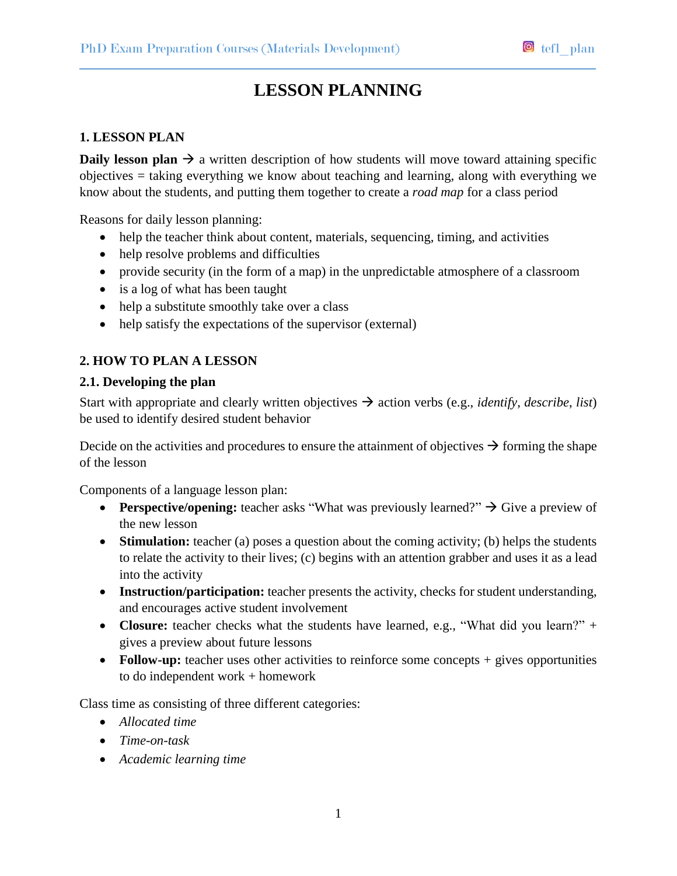# **LESSON PLANNING**

## **1. LESSON PLAN**

**Daily lesson plan**  $\rightarrow$  a written description of how students will move toward attaining specific objectives = taking everything we know about teaching and learning, along with everything we know about the students, and putting them together to create a *road map* for a class period

Reasons for daily lesson planning:

- help the teacher think about content, materials, sequencing, timing, and activities
- help resolve problems and difficulties
- provide security (in the form of a map) in the unpredictable atmosphere of a classroom
- is a log of what has been taught
- help a substitute smoothly take over a class
- help satisfy the expectations of the supervisor (external)

# **2. HOW TO PLAN A LESSON**

#### **2.1. Developing the plan**

Start with appropriate and clearly written objectives  $\rightarrow$  action verbs (e.g., *identify*, *describe*, *list*) be used to identify desired student behavior

Decide on the activities and procedures to ensure the attainment of objectives  $\rightarrow$  forming the shape of the lesson

Components of a language lesson plan:

- **Perspective/opening:** teacher asks "What was previously learned?"  $\rightarrow$  Give a preview of the new lesson
- **Stimulation:** teacher (a) poses a question about the coming activity; (b) helps the students to relate the activity to their lives; (c) begins with an attention grabber and uses it as a lead into the activity
- **Instruction/participation:** teacher presents the activity, checks for student understanding, and encourages active student involvement
- Closure: teacher checks what the students have learned, e.g., "What did you learn?" + gives a preview about future lessons
- Follow-up: teacher uses other activities to reinforce some concepts + gives opportunities to do independent work + homework

Class time as consisting of three different categories:

- *Allocated time*
- *Time-on-task*
- *Academic learning time*